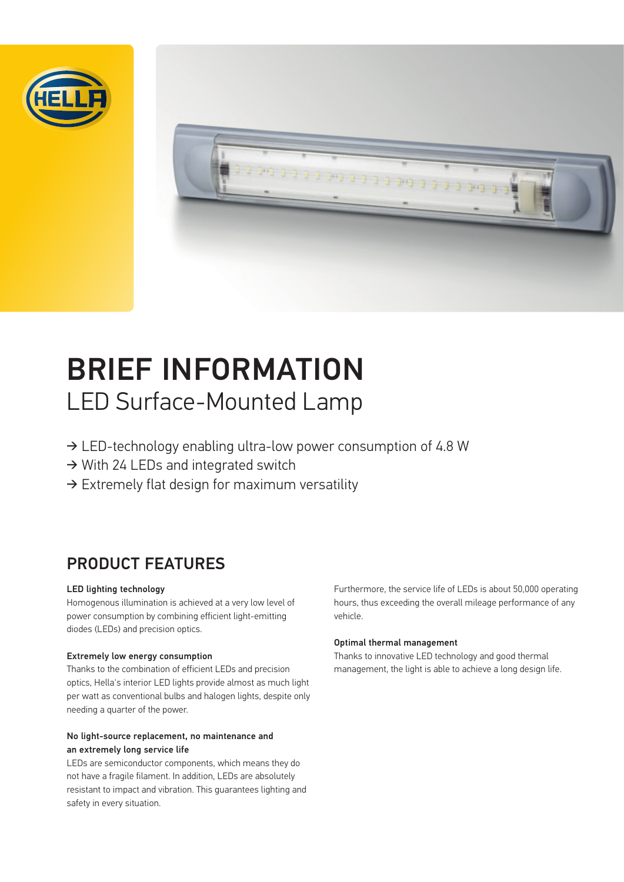



# BRIEF INFORMATION LED Surface-Mounted Lamp

- ➔ LED-technology enabling ultra-low power consumption of 4.8 W
- ➔ With 24 LEDs and integrated switch
- $\rightarrow$  Extremely flat design for maximum versatility

## PRODUCT FEATURES

#### LED lighting technology

Homogenous illumination is achieved at a very low level of power consumption by combining efficient light-emitting diodes (LEDs) and precision optics.

#### Extremely low energy consumption

Thanks to the combination of efficient LEDs and precision optics, Hella's interior LED lights provide almost as much light per watt as conventional bulbs and halogen lights, despite only needing a quarter of the power.

#### No light-source replacement, no maintenance and an extremely long service life

LEDs are semiconductor components, which means they do not have a fragile filament. In addition, LEDs are absolutely resistant to impact and vibration. This guarantees lighting and safety in every situation.

Furthermore, the service life of LEDs is about 50,000 operating hours, thus exceeding the overall mileage performance of any vehicle.

#### Optimal thermal management

Thanks to innovative LED technology and good thermal management, the light is able to achieve a long design life.